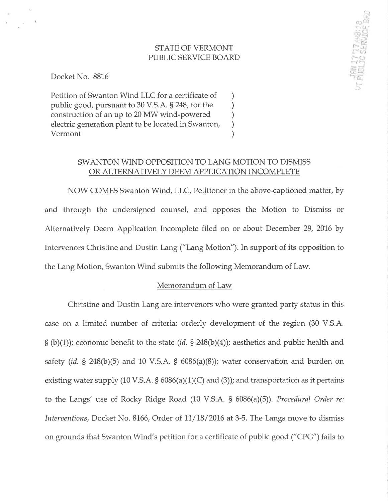## STATE OF VERMONT PUBLIC SERVICE BOARD

f":1  $E$ r /1.!J  $\mathbb{R}$   $\cong$  $\alpha$  .  $r$  .  $\frac{\alpha}{\ln J}$  $\sim$   $\alpha$   $\,$  $\sim$  to:

 $\left| \frac{\partial \mathbf{r}}{\partial \mathbf{r}^2} \right|$  $\overline{2D}$ --i'

Docket No. 88L6

Petition of Swanton Wind LLC for a certificate of ) public good, pursuant to 30 V.S.A. § 248, for the construction of an up to 20 MW wind-powered ) electric generation plant to be located in Swanton,<br>Vermont Vermont )

## SWANTON WIND OPPOSITION TO LANG MOTION TO DISMISS OR ALTERNATIVELY DEEM APPLICATION INCOMPLETE

NOW COMES Swanton Wind, LLC, Petitioner in the above-captioned matter, by and through the undersigned counsel, and opposes the Motion to Dismiss or Alternatively Deem Application Incomplete filed on or about December 29, 2016 by lntervenors Christine and Dustin Lang ("Lang Motion"). In support of its opposition to the Lang Motion, Swanton Wind submits the following Memorandum of Law.

#### Memorandum of Law

Christine and Dustin Lang are intervenors who were granted party status in this case on a limited number of criteria: orderly development of the region (30 V.S.A.  $S(b)(1)$ ; economic benefit to the state (id.  $S$  248(b)(4)); aesthetics and public health and safety (id. § 248(b)(5) and 10 V.S.A. §  $6086(a)(8)$ ); water conservation and burden on existing water supply (10 V.S.A.  $\S$  6086(a)(1)(C) and (3)); and transportation as it pertains to the Langs' use of Rocky Ridge Road (10 V.S.A. S 6086(a)(5)). Procedural Order re: Interventions, Docket No. 8166, Order of  $11/18/2016$  at 3-5. The Langs move to dismiss on grounds that Swanton Wind's petition for a certificate of public good ("CPG") fails to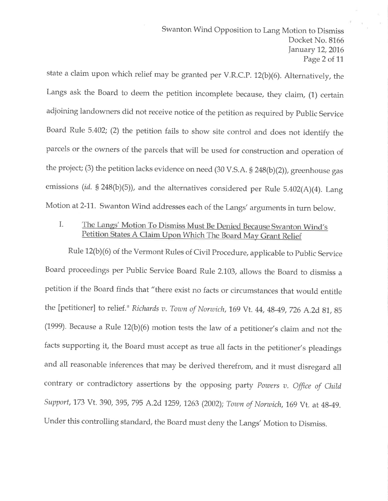state a claim upon which relief may be granted per V.R.C.P. 12(b)(6). Alternatively, the Langs ask the Board to deem the petition incomplete because, they claim, (1) certain adjoining landowners did not receive notice of the petition as required by public Service Board Rule 5.402; (2) the petition fails to show site control and does not identify the parcels or the owners of the parcels that will be used for construction and operation of the project; (3) the petition lacks evidence on need (30 V.S.A. § 248(b)(2)), greenhouse gas emissions (id. § 248(b)(5)), and the alternatives considered per Rule 5.402(A)(4). Lang Motion at 2-11. Swanton Wind addresses each of the Langs' arguments in turn below.

# Petition States A Claim Upon Which The Board Ma I. The Langs' Motion To Dismiss Must Be Denied Because Swanton Wind's

Rule 12(b)(6) of the Vermont Rules of Civil Procedure, applicable to public Service Board proceedings per Pubtic Service Board Rule 2.103, allows the Board to dismiss <sup>a</sup> petition if the Board finds that "there exist no facts or circumstances that would entitle the [petitioner] to relief." Richards v. Town of Norwich, 169 Vt. 44, 48-49, 726 A.2d 81, 85 (1999). Because a Rule 12(b)(6) motion tests the law of a petitioner's claim and not the facts supporting it, the Board must accept as true all facts in the petitioner's pleadings and all reasonable inferences that may be derived therefrom, and it must disregard all contrary or contradictory assertions by the opposing party Powers  $v$ . Office of Child Support, 173 Vt. 390, 395, 795 A.2d 1259, 1263 (2002); Town of Norwich, 169 Vt. at 48-49. Under this controlling standard, the Board must deny the Langs' Motion to Dismiss.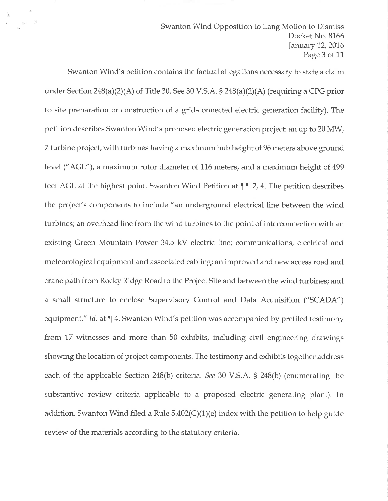Swanton Wind Opposition to Lang Motion to Dismiss Docket No. 8166 January 12, 2016 Page 3 of 1L

Swanton Wind's petition contains the factual allegations necessary to state a claim under Section  $248(a)(2)(A)$  of Title 30. See 30 V.S.A. §  $248(a)(2)(A)$  (requiring a CPG prior to site preparation or construction of a grid-connected electric generation facility). The petition describes Swanton Wind's proposed electric generation project: an up to 20 MW, <sup>7</sup>turbine project, with turbines having a maximum hub height of 96 meters above ground level ("AGL"), a maximum rotor diameter of 116 meters, and a maximum height of 499 feet AGL at the highest point. Swanton Wind Petition at  $\P$  $I$  2, 4. The petition describes the project's components to include "an underground electrical line between the wind turbines; an overhead line from the wind turbines to the point of interconnection with an existing Green Mountain Power 34.5 kV electric line; communications, electrical and meteorological equipment and associated cabling; an improved and new access road and crane path from Rocky Ridge Road to the Project Site and between the wind turbines; and a small structure to enclose Supervisory Control and Data Acquisition ("SCADA") equipment." Id. at  $\P$  4. Swanton Wind's petition was accompanied by prefiled testimony from 17 witnesses and more than 50 exhibits, including civil engineering drawings showing the location of project components. The testimony and exhibits together address each of the applicable Section 248(b) criteria. See 30 V.S.A. S 248(b) (enumerating the substantive review criteria applicable to a proposed electric generating plant). In addition, Swanton Wind filed a Rule  $5.402(C)(1)(e)$  index with the petition to help guide review of the materials according to the statutory criteria.

 $\frac{1}{2}$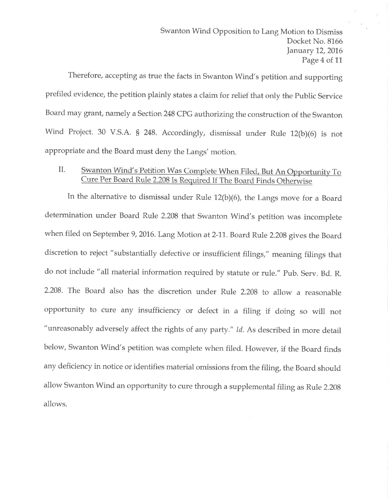Therefore, accepting as true the facts in Swanton Wind's petition and supporting prefiled evidence, the petition plainly states a claim for relief that only the Public Service Board may grant, namely a Section 248 CPG authorizing the construction of the Swanton Wind Project. 30 V.S.A. § 248. Accordingly, dismissal under Rule 12(b)(6) is not appropriate and the Board must deny the Langs' motion.

#### Swanton Wind's Petition Was Complete When Filed, But An Opportunity To Cure Per Board Rule 2.208 Is Required If The Board Finds Otherwise il.

In the alternative to dismissal under Rule 12(b)(6), the Langs move for a Board determination under Board Rule 2.208 that Swanton Wind's petition was incomplete when filed on September 9, 2016. Lang Motion at 2-11. Board Rule 2.208 gives the Board discretion to reject "substantially defective or insufficient filings," meaning filings that do not include "all material information required by statute or rule." Pub. Serv. Bd. R. 2.208. The Board also has the discretion under Rule 2.208 to allow a reasonable opportunity to cure any insufficiency or defect in a filing if doing so will not "unreasonably adversely affect the rights of any party." Id. As described in more detail below, Swanton Wind's petition was complete when filed. Flowever, if the Board finds any deficiency in notice or identifies material omissions from the filing, the Board should allow Swanton Wind an opportunity to cure through a supplemental filing as Rule 2.208 allows.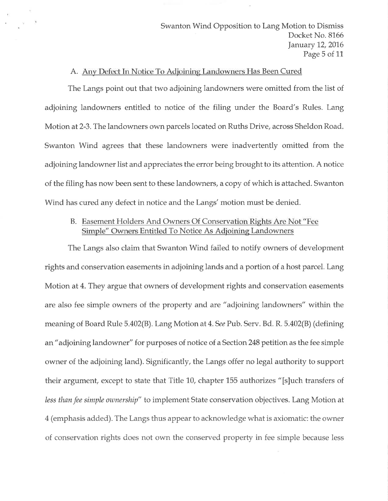Swanton Wind Opposition to Lang Motion to Dismiss Docket No. 8166 January 12, 2016 Page 5 of 11

## A. Any Defect In Notice To Adjoining Landowners Has Been Cured

 $\sim 100$ 

The Langs point out that two adjoining landowners were omitted from the list of adjoining landowners entitled to notice of the filing under the Board's Rules. Lang Motion at 2-3. The landowners own parcels located on Ruths Drive, across Sheldon Road. Swanton Wind agrees that these landowners were inadvertently omitted from the adjoining landowner list and appreciates the error being brought to its attention. A notice of the filing has now been sent to these landowners, a copy of which is attached. Swanton Wind has cured any defect in notice and the Langs' motion must be denied.

## B. Easement Holders And Owners Of Conservation Rights Are Not "Fee Simple" Owners Entitled To Notice As Adjoining Landowners

The Langs also claim that Swanton Wind failed to notify owners of development rights and conservation easements in adjoining lands and a portion of a host parcel. Lang Motion at 4. They argue that owners of development rights and conservation easements are also fee simple owners of the property and are "adjoining landowners" within the meaning of Board Rule 5.402(B). Lang Motion at 4. See Pub. Serv. Bd. R. 5.402(B) (defining an "adjoining landowner" for purposes of notice of a Section 248 petition as the fee simple owner of the adjoining land). Significantly, the Langs offer no legal authority to support their argument, except to state that Title 10, chapter 155 authorizes "[s]uch transfers of less than fee simple ownership" to implement State conservation objectives. Lang Motion at 4 (emphasis added). The Langs thus appear to acknowledge what is axiomatic: the owner of conservation rights does not own the conserved property in fee simple because less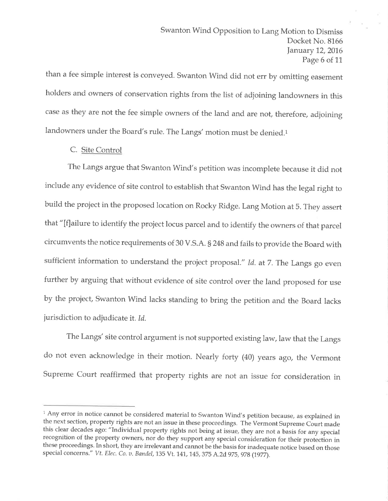than a fee simple interest is conveyed. Swanton Wind did not err by omitting easement holders and owners of conservation rights from the list of adjoining landowners in this case as they are not the fee simple owners of the land and are not, therefore, adjoining landowners under the Board's rule. The Langs' motion must be denied.<sup>1</sup>

## C. Site Control

The Langs argue that Swanton Wind's petition was incomplete because it did not include any evidence of site control to establish that Swanton Wind has the legal right to build the project in the proposed location on Rocky Ridge. Lang Motion at 5. They assert that "[f]ailure to identify the project locus parcel and to identify the owners of that parcel circumvents the notice requirements of 30 V.S.A. S 248 and fails to provide the Board with sufficient information to understand the project proposal." Id. at 7. The Langs go even further by arguing that without evidence of site control over the land proposed for use by the project, Swanton Wind lacks standing to bring the petition and the Board lacks jurisdiction to adjudicate it, Id,

The Langs' site control argument is not supported existing law, law that the Langs do not even acknowledge in their motion. Nearly forty (40) years ago, the Vermont Supreme Court reaffirmed that property rights are not an issue for consideration in

<sup>&</sup>lt;sup>1</sup> Any error in notice cannot be considered material to Swanton Wind's petition because, as explained in the next section, property rights are not an issue in these proceedings. The Vermont Supreme Court made this clear decades ago: "Individual property rights not being at iszue, they are not a basis for any special recognition of the property owners, nor do they support any special consideration for their protection in these proceedings. In short, they are irrelevant and cannot be the basis for inadequate notice based on those special concerns." Vt. Elec. Co. v. Bandel, 135 Vt. 141, 145, 375 A.2d 975, 978 (1977).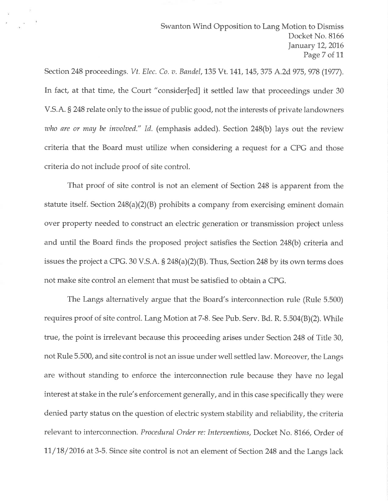Section 248 proceedings. Vt. Elec. Co. v. Bandel, 135 Vt. 141, 145, 375 A.2d 975, 978 (1977). In fact, at that time, the Court "consider[ed] it settled law that proceedings under <sup>30</sup> V.S.A. S 248 relate only to the issue of public good, not the interests of private landowners who are or may be involved." Id. (emphasis added). Section  $248(b)$  lays out the review criteria that the Board must utilize when considering a request for a CPG and those criteria do not include proof of site control.

That proof of site control is not an element of Section 248 is apparent from the statute itself. Section  $248(a)(2)(B)$  prohibits a company from exercising eminent domain ovet property needed to construct an electric generation or transmission project unless and until the Board finds the proposed project satisfies the Section 248(b) criteria and issues the project a CPG. 30 V.S.A.  $\S$  248(a)(2)(B). Thus, Section 248 by its own terms does not make site control an element that must be satisfied to obtain a CPG.

The Langs alternatively argue that the Board's interconnection rule (Rule 5.500) requires proof of site control. Lang Motion at 7-8. See Pub. Serv. Bd. R. 5.504(B)(2). While true, the point is irrelevant because this proceeding arises under Section 248 of Title 30, not Rule 5.500, and site control is not an issue under well settled law. Moreover, the Langs are without standing to enforce the interconnection rule because they have no legal interest at stake in the rule's enforcement generally, and in this case specifically they were denied party status on the question of electric system stability and reliability, the criteria relevant to interconnection. Procedural Order re: Interventions, Docket No. 8166, Order of  $11/18/2016$  at 3-5. Since site control is not an element of Section 248 and the Langs lack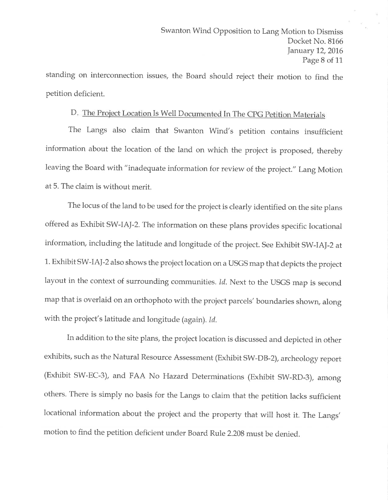standing on interconnection issues, the Board should reject their motion to find the petition deficient.

# D. The Project Location Is Well Documented In The CPG Petition Ma

The Langs also claim that Swanton Wind's petition contains insufficient information about the location of the land on which the project is proposed, thereby leaving the Board with "inadequate information for review of the project." Lang Motion at 5. The claim is without merit.

The locus of the land to be used for the project is clearly identified on the site plans offered as Exhibit SW-IAJ-2. The information on these plans provides specific locational information, including the latitude and longitude of the project. See Exhibit SW-IAJ-2 at 1. Exhibit SW-lAI-2also shows the project location on a USGS map that depicts the project layout in the context of surrounding communities. Id. Next to the USGS map is second map that is overlaid on an orthophoto with the project parcels'boundaries shown, along with the project's latitude and longitude (again). Id.

In addition to the site plans, the project location is discussed and depicted in other exhibits, such as the Natural Resource Assessment (Exhibit SW-DB-2), archeology report (Exhibit SW-EC-3), and FAA No Hazard Determinations (Exhibit SW-RD-3), among others. There is simply no basis for the Langs to claim that the petition lacks sufficient locational information about the project and the property that will host it. The Langs' motion to find the petition deficient under Board Rule 2.208 must be denied.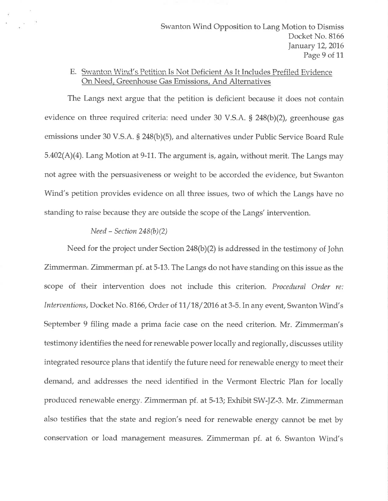## E. Swanton Wind's Petition Is Not Deficient As It Includes Prefiled Evidence On Need. Greenhouse Gas Emissions, And Alternatives

The Langs next argue that the petition is deficient because it does not contain evidence on three required criteria: need under 30 V.S.A. S 248(b)(2), greenhouse gas emissions under 30 V.S.A.  $\S$  248(b)(5), and alternatives under Public Service Board Rule  $5.402(A)(4)$ . Lang Motion at 9-11. The argument is, again, without merit. The Langs may not agree with the persuasiveness or weight to be accorded the evidence, but Swanton Wind's petition provides evidence on all three issues, two of which the Langs have no standing to raise because they are outside the scope of the Langs' intervention.

#### $Need - Section 248(b)(2)$

Need for the project under Section 248(b)(2) is addressed in the testimony of John Zimmerman. Zimmerman pf. at 5-13. The Langs do not have standing on this issue as the scope of their intervention does not include this criterion. Procedural Order re: Interventions, Docket No. 8166, Order of 11/18/2016 at 3-5. In any event, Swanton Wind's September 9 filing made a prima facie case on the need criterion. Mr. Zimmerman's testimony identifies the need for renewable power locally and regionally, discusses utility integrated resource plans that identify the future need for renewable energy to meet their demand, and addresses the need identified in the Vermont Electric Plan for locally produced renewable energy. Zimmerman pf. at5-13; Exhibit SW-IZ-3. Mr. Zimmerman also testifies that the state and region's need for renewable energy cannot be met by conservation or load management measures. Zimmerman pf. at 6. Swanton Wind's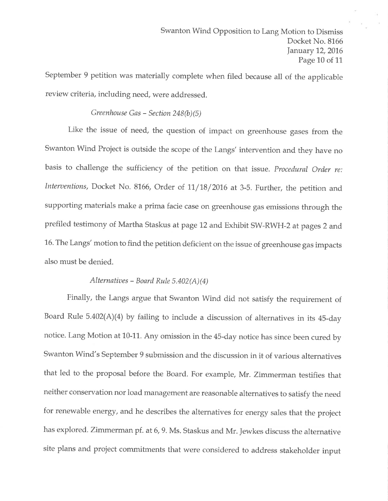September 9 petition was materially complete when filed because all of the applicable review criteria, including need, were addressed.

## Greenhouse Gas - Section  $248(b)(5)$

Like the issue of need, the question of impact on greenhouse gases from the Swanton Wind Project is outside the scope of the Langs' intervention and they have no basis to challenge the sufficiency of the petition on that issue. Procedural Order re: Interventions, Docket No. 8166, Order of 11/18/2016 at 3-5. Further, the petition and supporting materials make a prima facie case on greenhouse gas emissions through the prefiled testimony of Martha Staskus at page 12 and Exhibit SW-RWH -2 at pages 2 and 16. The Langs' motion to find the petition deficient on the issue of greenhouse gas impacts also must be denied.

#### Alternatives – Board Rule 5.402(A)(4)

Finally, the Langs argue that Swanton Wind did not satisfy the requirement of Board Rule  $5.402(A)(4)$  by failing to include a discussion of alternatives in its 45-day notice. Lang Motion at 10-11. Any omission in the 45-day notice has since been cured by Swanton Wind's September 9 submission and the discussion in it of various alternatives that led to the proposal before the Board. For example, Mr. Zimmerman testifies that neither conservation nor load management are reasonable alternatives to satisfy the need for renewable energy, and he describes the alternatives for energy sales that the project has explored. Zimmerman pf. at 6, 9. Ms. Staskus and Mr. Jewkes discuss the alternative site plans and project commitments that were considered to address stakeholder input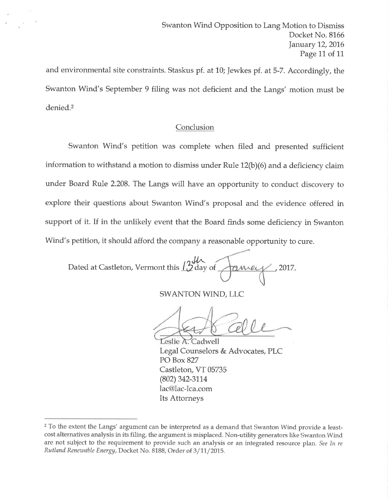and environmental site constraints. Staskus pf. at 10; Jewkes pf. at 5-7. Accordingly, the Swanton Wind's September 9 filing was not deficient and the Langs' motion must be denied.2

## Conclusion

Swanton Wind's petition was complete when filed and presented sufficient information to withstand a motion to dismiss under Rule 12(b)(6) and a deficiency claim under Board Rule 2.208. The Langs will have an opportunity to conduct discovery to explore their questions about Swanton Wind's proposal and the evidence offered in support of it. If in the unlikely event that the Board finds some deficiency in Swanton Wind's petition, it should afford the company a reasonable opportunity to cure.

Dated at Castleton, Vermont this  $12^{\circ}$ day of  $\overline{\phantom{a}}$  2017,

SWANTON WIND, LLC

Leslie A. Cadwell Legal Counselors & Advocates, PLC PO Box 827 Castleton, VT 05735 (802) 342-3114 lac@lac-lca.com Its Attorneys

<sup>&</sup>lt;sup>2</sup> To the extent the Langs' argument can be interpreted as a demand that Swanton Wind provide a leastcost alternatives analysis in its filing, the argument is misplaced. Non-utility generators like Swanton Wind are not subject to the requirement to provide such an analysis or an integrated resource plan. See In re Rutland Renewable Energy, Docket No. 8188, Order of 3/11/2015.